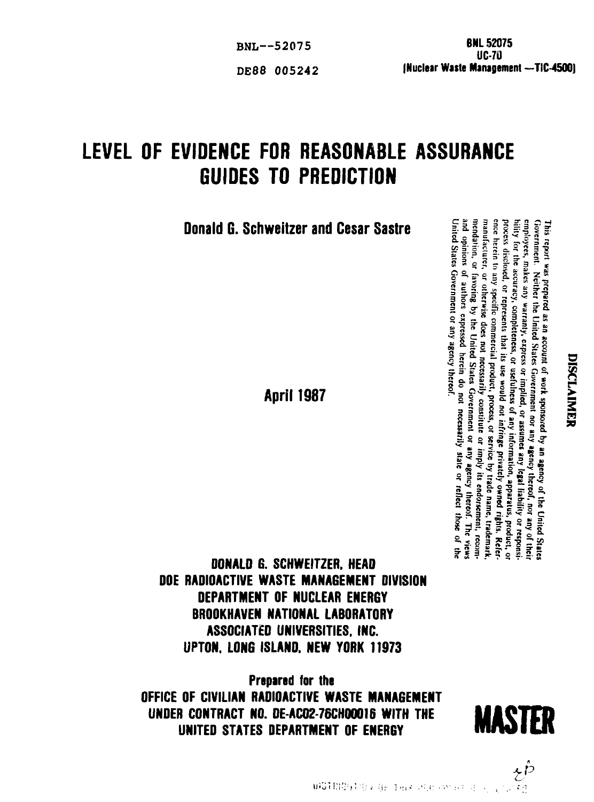Eventually, contently, content of a summer and the limiting or exponential content of  $\mathbf{r}_i$  and  $\mathbf{r}_i$  and  $\mathbf{r}_i$  and  $\mathbf{r}_i$  and  $\mathbf{r}_i$  and  $\mathbf{r}_i$  and  $\mathbf{r}_i$  and  $\mathbf{r}_i$  and  $\mathbf{r}_i$  and  $\mathbf{r}_i$ his repart<br>overnment (lity for the sector of the section of the section of the section of the section of the section of the section of the section of the section of the section of the section of the section of the section ence herein to any specific commercial product, process, or service by trade name, trademark, bility for the accuracy, completeness, or usefulness of any information, apparatus, product, or inted Street<br>maty, expansion<br>in that<br>indication<br>intersed<br>pressed a parties<br>**lie is de la II a.S.**<br>**lie is de la II a.S.**<br>**lie is de la II a.S.** 

 $\sum_{\substack{i=1 \text{odd } i \text{odd } i}}^{\infty}$ <br>  $\sum_{\substack{i=1 \text{odd } i \text{odd } i \text{odd } i}}^{\infty}$ <br>  $\sum_{\substack{i=1 \text{odd } i \text{odd } i \text{odd } i \text{odd } i}}^{\infty}$ 

**DONALD G. SCHWEITZER. HEAD DOE RADIOACTIVE WASTE MANAGEMENT DIVISION DEPARTMENT OF NUCLEAR ENERGY BROOKHAVEN NATIONAL LABORATORY ASSOCIATED UNIVERSITIES. INC. UPTON. L0N6 ISLANO. NEW YORK 11973**

**Prepared for the OFFICE OF CIVILIAN RADIOACTIVE WASTE MANAGEMENT UNDER CONTRACT NO. DE-AC02-76CH00016 WITH THE UNITED STATES DEPARTMENT OF ENERGY**



LEVEL **OF EVIDENCE FOR REASONABLE ASSURANCE**

**GUIDES TO PREDICTION**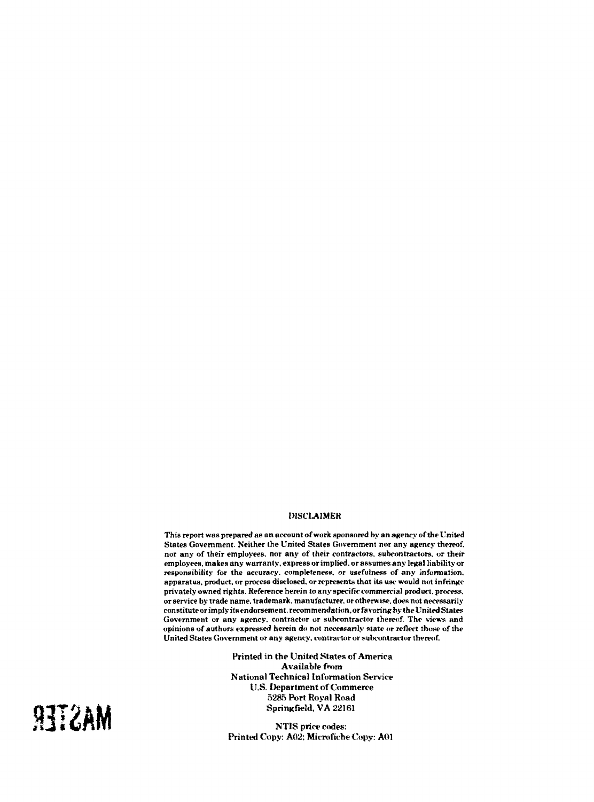### DISCLAIMER

**This report was prepared as an account of work sponsored by an agency of the United States Government. Neither the United States Government nor any agency thereof, nor any of their employees, nor any of their contractors, subcontractors, or their employees, makes any warranty, express or implied, or assumes any legal liability or responsibility for the accuracy, completeness, or usefulness of any information, apparatus, product, or process disclosed, or represents that its use would not infringe privately owned rights. Reference herein to anyspecifio commercial product, process. or service by trade name, trademark, manufacturer, or otherwise, does not necessarily constitute or imply its endorsement, recommendation,** *or favoring* **by the United States Government or any agency, contractor or subcontractor thereof. The views and opinions of authors expressed herein do not necessarily state or reflect those of the United States Government or any agency, contractor or subcontractor thereof.**

> Printed in the United States of America Available from National Technical Information Service U.S. Department of Commerce 5285 Port Royal Road Springfield, VA 22161

NT1S price codes: Printed Copy: A02: Microfiche Copy: A01

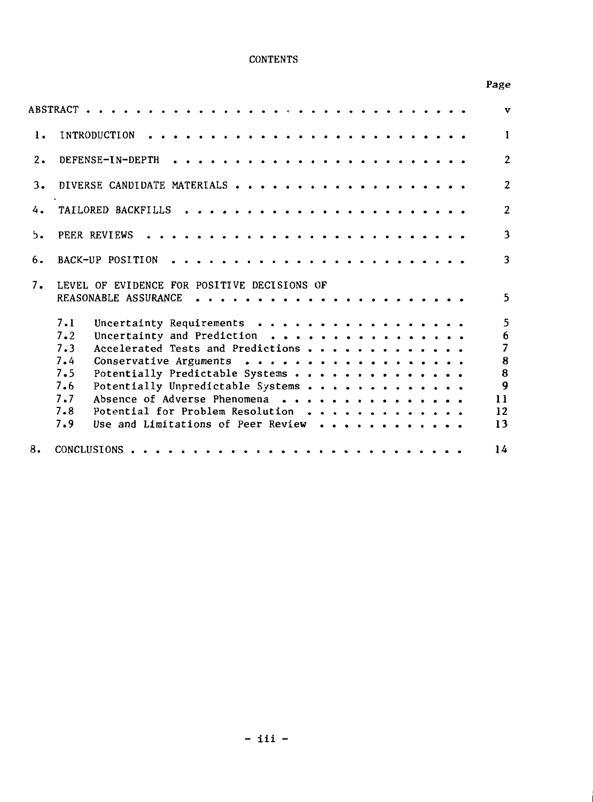# **CONTENTS**

# Page

|    |                                                                                                                                                                                                                                                                                                                                                                                   | $\mathbf{v}$                                                                           |
|----|-----------------------------------------------------------------------------------------------------------------------------------------------------------------------------------------------------------------------------------------------------------------------------------------------------------------------------------------------------------------------------------|----------------------------------------------------------------------------------------|
| 1. | INTRODUCTION                                                                                                                                                                                                                                                                                                                                                                      | $\mathbf{1}$                                                                           |
| 2. | DEFENSE-IN-DEPTH                                                                                                                                                                                                                                                                                                                                                                  | $\overline{2}$                                                                         |
| 3. |                                                                                                                                                                                                                                                                                                                                                                                   | $\overline{2}$                                                                         |
| 4. | TAILORED BACKFILLS                                                                                                                                                                                                                                                                                                                                                                | $\overline{2}$                                                                         |
| 5. | PEER REVIEWS                                                                                                                                                                                                                                                                                                                                                                      | 3                                                                                      |
| 6. | BACK-UP POSITION                                                                                                                                                                                                                                                                                                                                                                  | 3                                                                                      |
| 7. | LEVEL OF EVIDENCE FOR POSITIVE DECISIONS OF<br>REASONABLE ASSURANCE<br>. <i>.</i><br>$\begin{array}{cccccccccccccc} \bullet & \bullet & \bullet & \bullet & \bullet & \bullet & \bullet & \bullet & \bullet \end{array}$                                                                                                                                                          | 5.                                                                                     |
|    | Uncertainty Requirements<br>7.1<br>Uncertainty and Prediction<br>7.2<br>7.3<br>Accelerated Tests and Predictions<br>Conservative Arguments<br>7.4<br>7.5<br>Potentially Predictable Systems<br>7.6<br>Potentially Unpredictable Systems<br>Absence of Adverse Phenomena<br>7.7<br>7.8<br>Potential for Problem Resolution<br>7.9<br>Use and Limitations of Peer Review $\cdots$ , | 5<br>6<br>$\overline{7}$<br>$\pmb{8}$<br>$\pmb{8}$<br>$\overline{9}$<br>11<br>12<br>13 |
| 8. |                                                                                                                                                                                                                                                                                                                                                                                   | 14                                                                                     |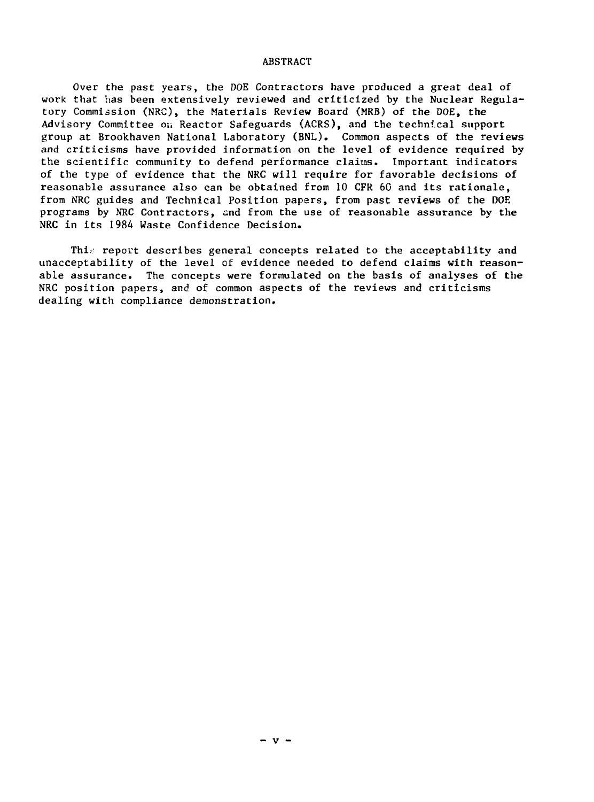#### ABSTRACT

Over the past years, the DOE Contractors have produced a great deal of work that has been extensively reviewed and criticized by the Nuclear Regulatory Commission (NRC), the Materials Review Board (MRB) of the DOE, the Advisory Committee on Reactor Safeguards (ACRS), and the technical support group at Brookhaven National Laboratory (BNL). Common aspects of the reviews and criticisms have provided information on the level of evidence required by the scientific community to defend performance claims. Important indicators of the type of evidence that the NRC will require for favorable decisions of reasonable assurance also can be obtained from 10 CFR 60 and its rationale, from NRC guides and Technical Position papers, from past reviews of the DOE programs by NRC Contractors, and from the use of reasonable assurance by the NRC in its 1984 Waste Confidence Decision.

Thi $\varepsilon$  report describes general concepts related to the acceptability and unacceptability of the level of evidence needed to defend claims with reasonable assurance. The concepts were formulated on the basis of analyses of the NRC position papers, and of common aspects of the reviews and criticisms dealing with compliance demonstration.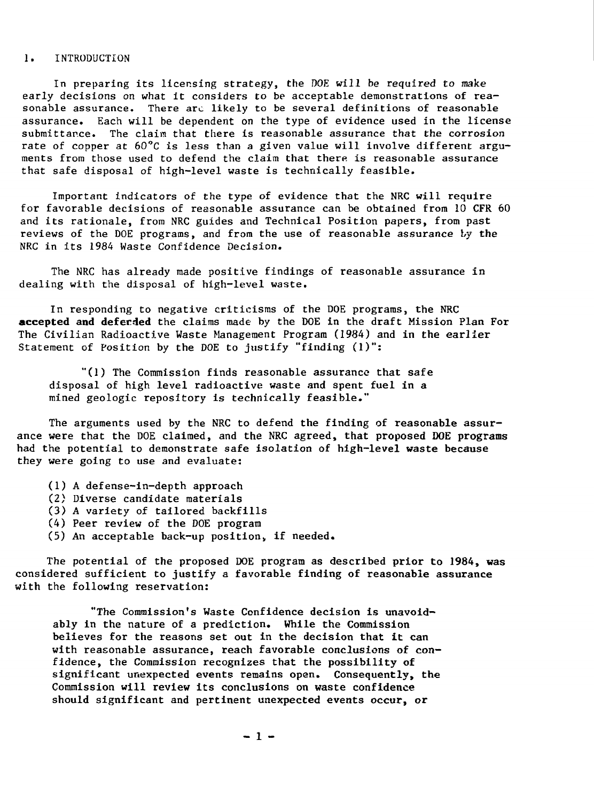## 1. INTRODUCTION

In preparing its licensing strategy, the DOE will be required to make early decisions on what it considers to be acceptable demonstrations of reasonable assurance. There arc likely to be several definitions of reasonable assurance. Each will be dependent on the type of evidence used in the license submittance. The claim that there is reasonable assurance that the corrosion rate of copper at 60°C is less than a given value will involve different arguments from those used to defend the claim that there is reasonable assurance that safe disposal of high-level waste is technically feasible.

Important indicators of the type of evidence that the NRC will require for favorable decisions of reasonable assurance can be obtained from 10 CFR 60 and its rationale, from NRC guides and Technical Position papers, from past reviews of the DOE programs, and from the use of reasonable assurance by the NRC in its 1984 Waste Confidence Decision.

The NRC has already made positive findings of reasonable assurance in dealing with the disposal of high-level waste.

In responding to negative criticisms of the DOE programs, the NRC **accepted and deferred** the claims made by the DOE in the draft Mission Plan For The Civilian Radioactive Waste Management Program (1984) and in the earlier Statement of Position by the DOE to justify "finding (1)":

"(1) The Commission finds reasonable assurance that safe disposal of high level radioactive waste and spent fuel in a mined geologic repository is technically feasible."

The arguments used by the NRC to defend the finding of reasonable assurance were that the DOE claimed, and the NRC agreed, that proposed DOE programs had the potential to demonstrate safe isolation of high-level waste because they were going to use and evaluate:

- (1) A defense-in-depth approach
- (2) Diverse candidate materials
- (3) A variety of tailored backfills
- (4) Peer review of the DOE program
- $(5)$  An acceptable back-up position, if needed.

The potential of the proposed DOE program as described prior to 1984, was considered sufficient to justify a favorable finding of reasonable assurance with the following reservation:

"The Commission's Waste Confidence decision is unavoidably in the nature of a prediction. While the Commission believes for the reasons set out in the decision that it can with reasonable assurance, reach favorable conclusions of confidence, the Commission recognizes that the possibility of significant unexpected events remains open. Consequently, the Commission will review its conclusions on waste confidence should significant and pertinent unexpected events occur, or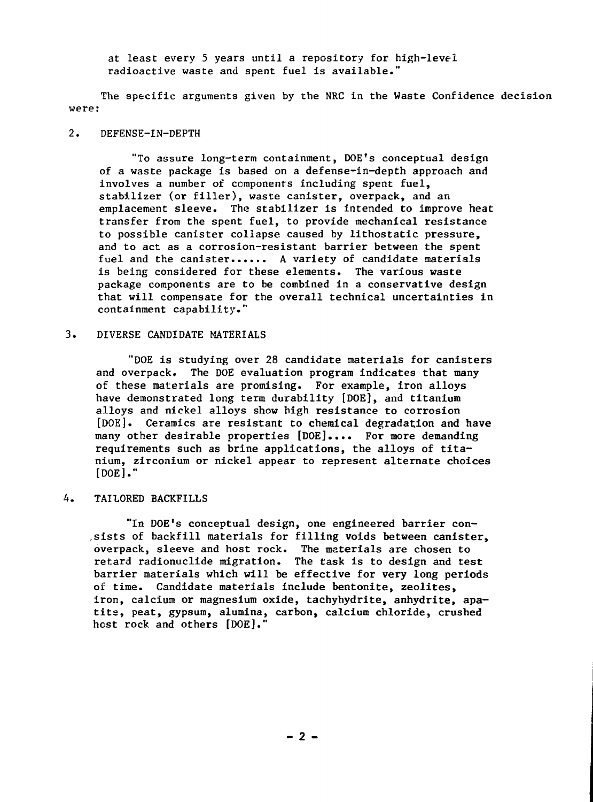at least every 5 years until a repository for high-level radioactive waste and spent fuel is available."

The specific arguments given by the NRC in the Waste Confidence decision were:

## 2. DEFENSE-IN-DEPTH

"To assure long-term containment, DOE's conceptual design of a waste package is based on a defense-in-depth approach and involves a number of components including spent fuel, stabilizer (or filler), waste canister, overpack, and an emplacement sleeve. The stabilizer is intended to improve heat transfer from the spent fuel, to provide mechanical resistance to possible canister collapse caused by lithostatic pressure, and to act as a corrosion-resistant barrier between the spent fuel and the canister...... A variety of candidate materials is being considered for these elements. The various waste package components are to be combined in a conservative design that will compensate for the overall technical uncertainties in containment capability."

#### 3. DIVERSE CANDIDATE MATERIALS

"DOE is studying over 28 candidate materials for canisters and overpack. The DOE evaluation program indicates that many of these materials are promising. For example, iron alloys have demonstrated long term durability [DOE], and titanium alloys and nickel alloys show high resistance to corrosion [DOE]. Ceramics are resistant to chemical degradation and have many other desirable properties [DOE].... For more demanding requirements such as brine applications, the alloys of titanium, zirconium or nickel appear to represent alternate choices [DOE]."

## A. TAILORED BACKFILLS

"In DOE's conceptual design, one engineered barrier con- ,sists of backfill materials for filling voids between canister, overpack, sleeve and host rock. The materials are chosen to retard radionuclide migration. The task is to design and test barrier materials which will be effective for very long periods oi: time. Candidate materials include bentonite, zeolites, iron, calcium or magnesium oxide, tachyhydrite, anhydrite, apatite, peat, gypsum, alumina, carbon, calcium chloride, crushed host rock and others [DOE]."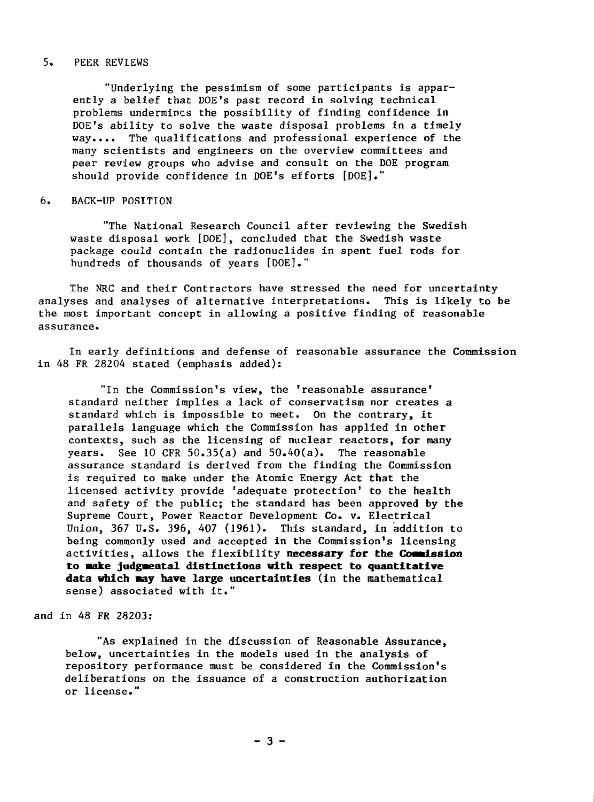#### 5. PEER REVIEWS

"Underlying the pessimism of some participants is apparently a belief that DOE's past record in solving technical problems undermines the possibility of finding confidence in DOE's ability to solve the waste disposal problems in a timely way.•.• The qualifications and professional experience of the many scientists and engineers on the overview committees and peer review groups who advise and consult on the DOE program should provide confidence in DOE's efforts [DOE]."

#### 6. BACK-UP POSITION

"The National Research Council after reviewing the Swedish waste disposal work [DOE], concluded that the Swedish waste package could contain the radionuclides in spent fuel rods for hundreds of thousands of years [DOE]."

The NRC and their Contractors have stressed the need for uncertainty analyses and analyses of alternative interpretations. This is likely to be the most important concept in allowing a positive finding of reasonable assurance.

In early definitions and defense of reasonable assurance the Commission in 48 FR 28204 stated (emphasis added):

"In the Commission's view, the 'reasonable assurance\* standard neither implies a lack of conservatism nor creates a standard which is impossible to meet. On the contrary, it parallels language which the Commission has applied in other contexts, such as the licensing of nuclear reactors, for many years. See 10 CFR 50.35(a) and 50.40(a). The reasonable assurance standard is derived from the finding the Commission is required to make under the Atomic Energy Act that the licensed activity provide 'adequate protection' to the health and safety of the public; the standard has been approved by the Supreme Court, Power Reactor Development Co. v. Electrical Union, 367 U.S. 396, 407 (1961). This standard, in addition to being commonly used and accepted in the Commission's licensing activities, allows the flexibility **necessary for the Coaalssion to make judgmental distinctions with respect to quantitative** data which way have large uncertainties (in the mathematical sense) associated with it."

and in 48 FR 28203:

"As explained in the discussion of Reasonable Assurance, below, uncertainties in the models used in the analysis of repository performance must be considered in the Commission's deliberations on the issuance of a construction authorization or license."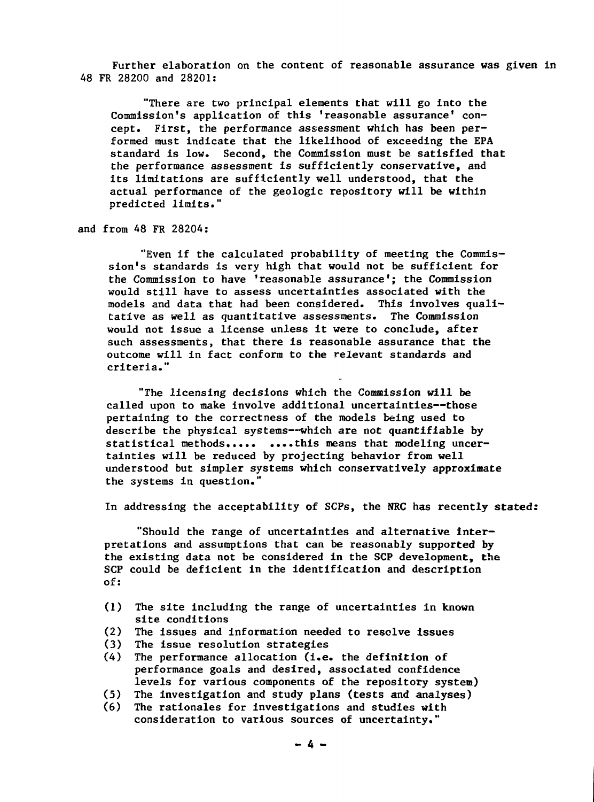Further elaboration on the content of reasonable assurance was given in 48 FR 28200 and 28201:

"There are two principal elements that will go into the Commission's application of this 'reasonable assurance' concept. First, the performance assessment which has been performed must indicate that the likelihood of exceeding the EPA standard is low. Second, the Commission must be satisfied that the performance assessment is sufficiently conservative, and its limitations are sufficiently well understood, that the actual performance of the geologic repository will be within predicted limits."

and from 48 FR 28204:

"Even if the calculated probability of meeting the Commission's standards is very high that would not be sufficient for the Commission to have 'reasonable assurance'; the Commission would still have to assess uncertainties associated with the models and data that had been considered. This involves qualitative as well as quantitative assessments. The Commission would not issue a license unless it were to conclude, after such assessments, that there is reasonable assurance that the outcome will in fact conform to the relevant standards and criteria."

"The licensing decisions which the Commission will be called upon to make involve additional uncertainties—those pertaining to the correctness of the models being used to describe the physical systems—which are not quantifiable by statistical methods.... this means that modeling uncertainties will be reduced by projecting behavior from well understood but simpler systems which conservatively approximate the systems in question."

In addressing the acceptability of SCPs, the NRC has recently stated:

"Should the range of uncertainties and alternative interpretations and assumptions that can be reasonably supported by the existing data not be considered in the SCP development, the SCP could be deficient in the identification and description of:

- (1) The site including the range of uncertainties in known site conditions
- (2) The issues and information needed to resolve issues
- (3) The issue resolution strategies
- (4) The performance allocation (i.e. the definition of performance goals and desired, associated confidence levels for various components of the repository system)
- (5) The investigation and study plans (tests and analyses)
- (6) The rationales for investigations and studies with consideration to various sources of uncertainty."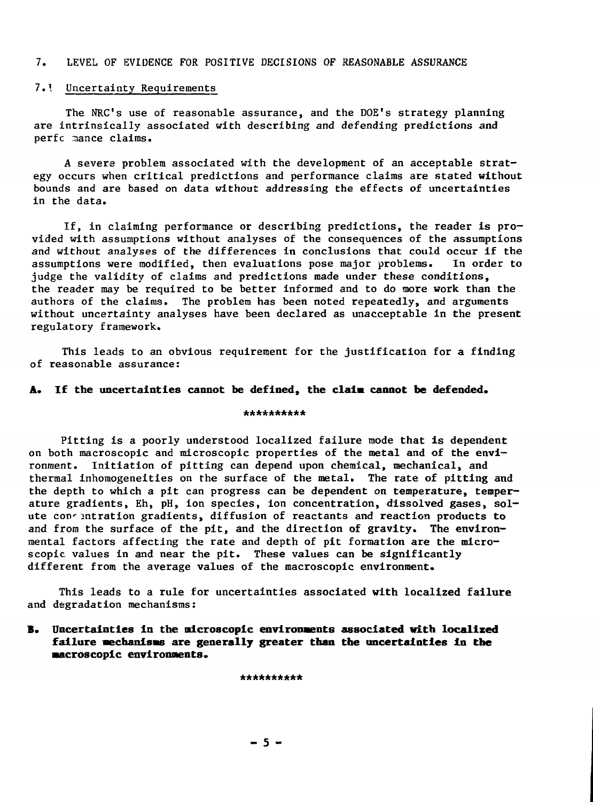## 7. LEVEL OF EVIDENCE FOR POSITIVE DECISIONS OF REASONABLE ASSURANCE

## 7.\ Uncertainty Requirements

The NRC's use of reasonable assurance, and the DOE's strategy planning are intrinsically associated with describing and defending predictions and perfc mance claims.

A severe problem associated with the development of an acceptable strategy occurs when critical predictions and performance claims are stated without bounds and are based on data without addressing the effects of uncertainties in the data.

If, in claiming performance or describing predictions, the reader is provided with assumptions without analyses of the consequences of the assumptions and without analyses of the differences in conclusions that could occur if the assumptions were modified, then evaluations pose major problems. In order to judge the validity of claims and predictions made under these conditions, the reader may be required to be better informed and to do more work than the authors of the claims. The problem has been noted repeatedly, and arguments without uncertainty analyses have been declared as unacceptable in the present regulatory framework.

This leads to an obvious requirement for the justification for a finding of reasonable assurance:

## **A. If the uncertainties cannot be defined, the data cannot be defended.**

#### \*\*\*\*\*\*\*\*\*\*

Pitting is a poorly understood localized failure mode that is dependent on both macroscopic and microscopic properties of the metal and of the environment. Initiation of pitting can depend upon chemical, mechanical, and thermal inhomogeneities on fhe surface of the metal. The rate of pitting and the depth to which a pit can progress can be dependent on temperature, temperature gradients, Eh, pH, ion species, ion concentration, dissolved gases, solute concentration gradients, diffusion of reactants and reaction products to and from the surface of the pit, and the direction of gravity. The environmental factors affecting the rate and depth of pit formation are the microscopic values in and near the pit. These values can be significantly different from the average values of the macroscopic environment.

This leads to a rule for uncertainties associated with localized failure and degradation mechanisms:

**B. Uncertainties in the microscopic environments associated with localized failure •echanisas are generally greater than the uncertainties in the •acroscopic environments.**

\*\*\*\*\*\*\*\*\*\*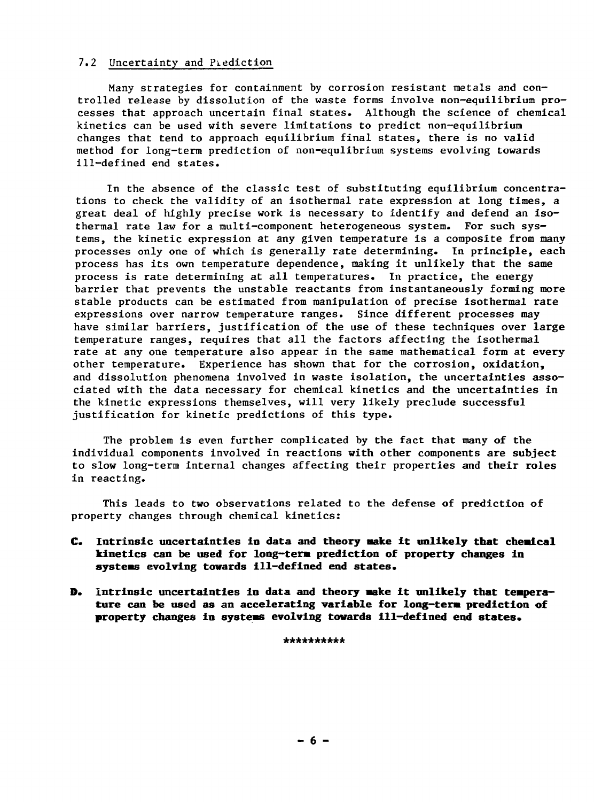### 7.2 Uncertainty and Prediction

Many strategies for containment by corrosion resistant metals and controlled release by dissolution of the waste forms involve non-equilibrium processes that approach uncertain final states. Although the science of chemical kinetics can be used with severe limitations to predict non-equilibrium changes that tend to approach equilibrium final states, there is no valid method for long-term prediction of non-equlibrium systems evolving towards ill-defined end states.

In the absence of the classic test of substituting equilibrium concentrations to check the validity of an isothermal rate expression at long times, a great deal of highly precise work is necessary to identify and defend an isothermal rate law for a multi-component heterogeneous system. For such systems, the kinetic expression at any given temperature is a composite from many processes only one of which is generally rate determining. In principle, each process has its own temperature dependence, making it unlikely that the same process is rate determining at all temperatures. In practice, the energy barrier that prevents the unstable reactants from instantaneously forming more stable products can be estimated from manipulation of precise isothermal rate expressions over narrow temperature ranges. Since different processes may have similar barriers, justification of the use of these techniques over large temperature ranges, requires that all the factors affecting the isothermal rate at any one temperature also appear in the same mathematical form at every other temperature. Experience has shown that for the corrosion, oxidation, and dissolution phenomena involved in waste isolation, the uncertainties associated with the data necessary for chemical kinetics and the uncertainties in the kinetic expressions themselves, will very likely preclude successful justification for kinetic predictions of this type.

The problem is even further complicated by the fact that many of the individual components involved in reactions with other components are subject to slow long-term internal changes affecting their properties and their roles in reacting.

This leads to two observations related to the defense of prediction of property changes through chemical kinetics:

- **C. Intrinsic uncertainties in data and theory make it unlikely that chemical kinetics can be used for long-term prediction of property changes in systems evolving towards ill-defined end states.**
- **D. Intrinsic uncertainties in data and theory make it unlikely that temperature can be used as an accelerating variable for long-term prediction of property changes in systems evolving towards ill-defined end states.**

**\*\*\*\*\*\*\*\*\*\***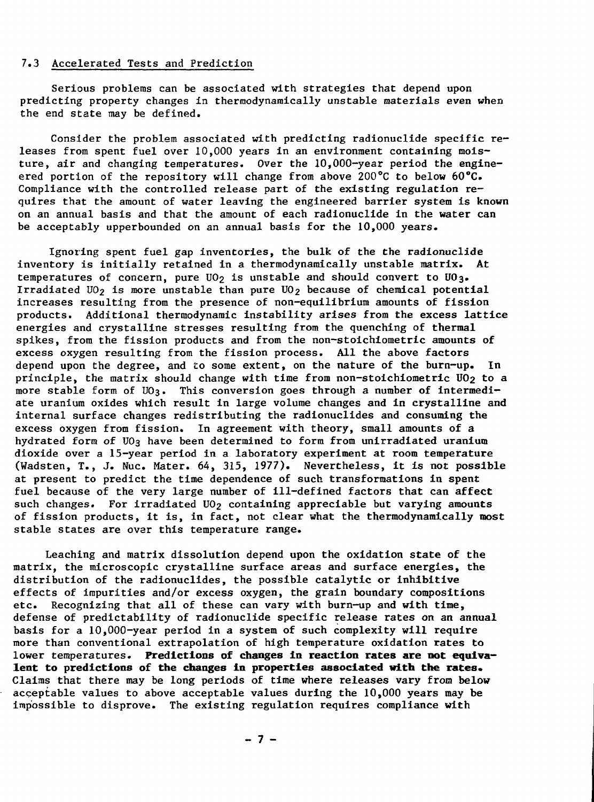### 7.3 Accelerated Tests and Prediction

Serious problems can be associated with strategies that depend upon predicting property changes in thermodynamically unstable materials even when the end state may be defined.

Consider the problem associated with predicting radionuclide specific releases from spent fuel over 10,000 years in an environment containing moisture, air and changing temperatures. Over the 10,000-year period the engineered portion of the repository will change from above 200°C to below 60°C. Compliance with the controlled release part of the existing regulation requires that the amount of water leaving the engineered barrier system is known on an annual basis and that the amount of each radionuclide in the water can be acceptably upperbounded on an annual basis for the 10,000 years.

Ignoring spent fuel gap inventories, the bulk of the the radionuclide inventory is initially retained in a thermodynamically unstable matrix. At temperatures of concern, pure  $U_0$  is unstable and should convert to  $U_0$ 3. Irradiated UO<sub>2</sub> is more unstable than pure UO<sub>2</sub> because of chemical potential increases resulting from the presence of non-equilibrium amounts of fission products. Additional thermodynamic instability arises from the excess lattice energies and crystalline stresses resulting from the quenching of thermal spikes, from the fission products and from the non-stoichiometric amounts of excess oxygen resulting from the fission process. All the above factors depend upon the degree, and to some extent, on the nature of the burn-up. In principle, the matrix should change with time from non-stoichiometric UO2 to a more stable form of UO3. This conversion goes through a number of intermediate uranium oxides which result in large volume changes and in crystalline and internal surface changes redistributing the radionuclides and consuming the excess oxygen from fission. In agreement with theory, small amounts of a hydrated form of UO3 have been determined to form from unirradiated uranium dioxide over a 15-year period in a laboratory experiment at room temperature (Wadsten, T., J. Nuc. Mater. 64, 315, 1977). Nevertheless, it is not possible at present to predict the time dependence of such transformations in spent fuel because of the very large number of ill-defined factors that can affect such changes. For irradiated  $UO<sub>2</sub>$  containing appreciable but varying amounts of fission products, it is, in fact, not clear what the thermodynamically most stable states are over this temperature range.

Leaching and matrix dissolution depend upon the oxidation state of the matrix, the microscopic crystalline surface areas and surface energies, the distribution of the radionuclides, the possible catalytic or inhibitive effects of impurities and/or excess oxygen, the grain boundary compositions etc. Recognizing that all of these can vary with burn-up and with time, defense of predictability of radionuclide specific release rates on an annual basis for a 10,000-year period in a system of such complexity will require more than conventional extrapolation of high temperature oxidation rates to lower temperatures. **Predictions of changes in reaction rates are not equivalent to predictions of the changes in properties associated with the rates.** Claims that there may be long periods of time where releases vary from below acceptable values to above acceptable values during the 10,000 years may be impossible to disprove. The existing regulation requires compliance with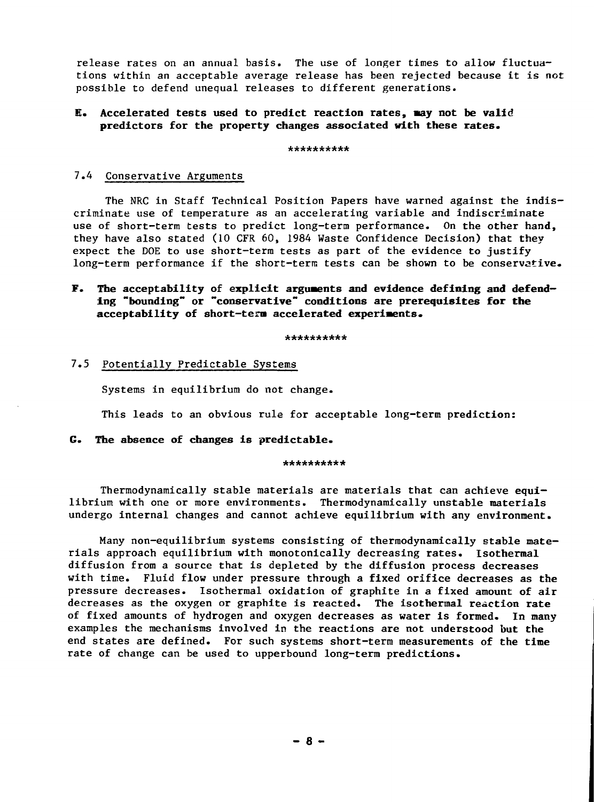release rates on an annual basis. The use of longer times to allow fluctuations within an acceptable average release has been rejected because it is not possible to defend unequal releases to different generations.

## **E. Accelerated tests used to predict reaction rates, may not be valid predictors for the property changes associated with these rates.**

\*\*\*\*\*\*\*\*\*\*

### 7.4 Conservative Arguments

The NRC in Staff Technical Position Papers have warned against the indiscriminate use of temperature as an accelerating variable and indiscriminate use of short-term tests to predict long-term performance. On the other hand, they have also stated (10 CFR 60, 1984 Waste Confidence Decision) that they expect the DOE to use short-term tests as part of the evidence to justify long-term performance if the short-term tests can be shown to be conservative.

## **F. The acceptability of explicit arguments and evidence defining and defending "bounding" or "conservative" conditions are prerequisites for the acceptability of short-tern accelerated experiments.**

#### \*\*\*\*\*\*\*\*\*\*

## 7.5 Potentially Predictable Systems

Systems in equilibrium do not change.

This leads to an obvious rule for acceptable long-term prediction:

## **G. The absence of changes is predictable.**

#### \*\*\*\*\*\*\*\*\*\*

Thermodynamically stable materials are materials that can achieve equilibrium with one or more environments. Thermodynamically unstable materials undergo internal changes and cannot achieve equilibrium with any environment.

Many non-equilibrium systems consisting of thermodynamically stable materials approach equilibrium with monotonically decreasing rates. Isothermal diffusion from a source that is depleted by the diffusion process decreases with time. Fluid flow under pressure through a fixed orifice decreases as the pressure decreases. Isothermal oxidation of graphite in a fixed amount of air decreases as the oxygen or graphite is reacted. The isothermal reaction rate of fixed amounts of hydrogen and oxygen decreases as water is formed. In many examples the mechanisms involved in the reactions are not understood but the end states are defined. For such systems short-term measurements of the time rate of change can be used to upperbound long-term predictions.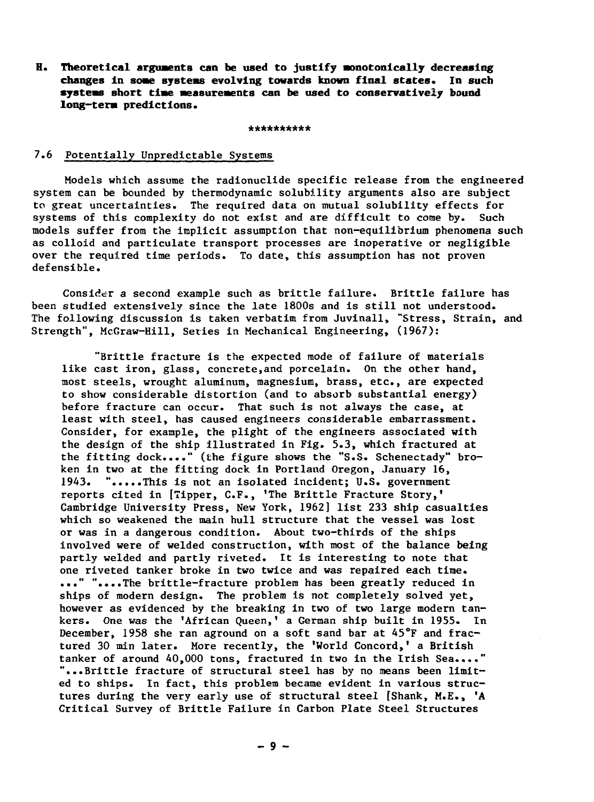**H. Theoretical arguments can be used to justify •onotonically decreasing changes in soae systems evolving towards known final states. In such systeas short tiae aeasureaents can be used to conservatively bound long—tera predictions.**

\*\*\*\*\*\*\*\*

## 7.6 Potentially Unpredictable Systems

Models which assume the radionuclide specific release from the engineered system can be bounded by thermodynamic solubility arguments also are subject to great uncertainties. The required data on mutual solubility effects for systems of this complexity do not exist and are difficult to come by. Such models suffer from the implicit assumption that non-equilibrium phenomena such as colloid and particulate transport processes are inoperative or negligible over the required time periods. To date, this assumption has not proven defensible.

Consider a second example such as brittle failure. Brittle failure has been studied extensively since the late 1800s and is still not understood. The following discussion is taken verbatim from Juvinall, "Stress, Strain, and Strength", McGraw-Hill, Series in Mechanical Engineering, (1967):

"Brittle fracture is the expected mode of failure of materials like cast iron, glass, concrete,and porcelain. On the other hand, most steels, wrought aluminum, magnesium, brass, etc., are expected to show considerable distortion (and to absorb substantial energy) before fracture can occur. That such is not always the case, at least with steel, has caused engineers considerable embarrassment. Consider, for example, the plight of the engineers associated with the design of the ship illustrated in Fig. 5.3, which fractured at the fitting dock...." (the figure shows the "S.S. Schenectady" broken in two at the fitting dock in Portland Oregon, January 16, 1943. ".....This is not an isolated incident; U.S. government reports cited in [Tipper, C.F., 'The Brittle Fracture Story,' Cambridge University Press, New York, 1962] list 233 ship casualties which so weakened the main hull structure that the vessel was lost or was in a dangerous condition. About two-thirds of the ships involved were of welded construction, with most of the balance being partly welded and partly riveted. It is interesting to note that one riveted tanker broke in two twice and was repaired each time. ..." "....The brittle-fracture problem has been greatly reduced in ships of modern design. The problem is not completely solved yet, however as evidenced by the breaking in two of two large modern tankers. One was the 'African Queen,' a German ship built in 1955. In December, 1958 she ran aground on a soft sand bar at 45°F and fractured 30 min later. More recently, the 'World Concord,' a British tanker of around 40,000 tons, fractured in two in the Irish Sea...." "...Brittle fracture of structural steel has by no means been limited to ships. In fact, this problem became evident in various structures during the very early use of structural steel [Shank, M.E., 'A Critical Survey of Brittle Failure in Carbon Plate Steel Structures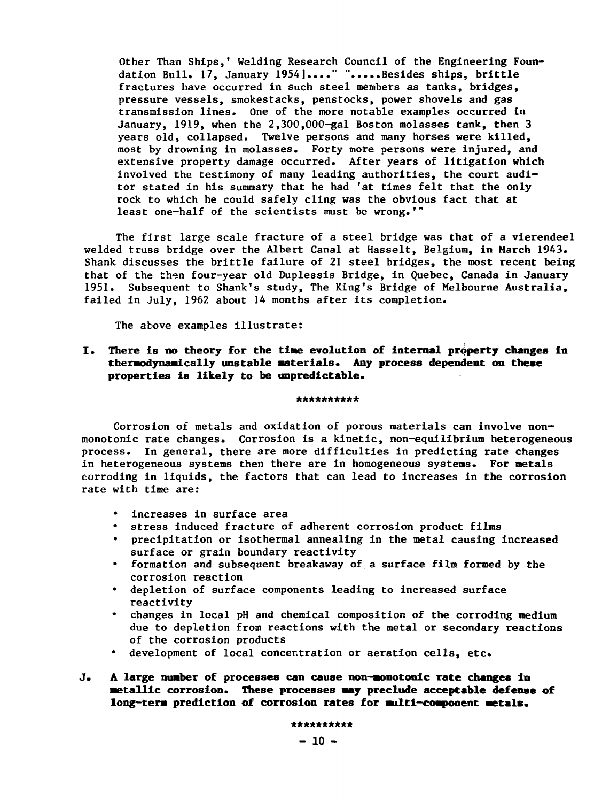Other Than Ships,' Welding Research Council of the Engineering Foundation Bull. 17, January 1954]...." ".....Besides ships, brittle fractures have occurred in such steel members as tanks, bridges, pressure vessels, smokestacks, penstocks, power shovels and gas transmission lines. One of the more notable examples occurred in January, 1919, when the 2,300,000-gal Boston molasses tank, then 3 years old, collapsed. Twelve persons and many horses were killed, most by drowning in molasses. Forty more persons were injured, and extensive property damage occurred. After years of litigation which involved the testimony of many leading authorities, the court auditor stated in his summary that he had 'at times felt that the only rock to which he could safely cling was the obvious fact that at least one-half of the scientists must be wrong.'"

The first large scale fracture of a steel bridge was that of a vierendeel welded truss bridge over the Albert Canal at Hasselt, Belgium, in March 1943. Shank discusses the brittle failure of 21 steel bridges, the most recent being that of the then four-year old Duplessis Bridge, in Quebec, Canada in January 1951. Subsequent to Shank's study, The King's Bridge of Melbourne Australia, failed in July, 1962 about 14 months after its completion.

The above examples illustrate:

**I. There is no theory for the tine evolution of internal property changes In theraodynaaically unstable Materials. Any process dependent on these properties is likely to be unpredictable.** •

#### \*\*\*\*\*\*\*\*\*\*

Corrosion of metals and oxidation of porous materials can involve nonmonotonic rate changes. Corrosion is a kinetic, non-equilibrium heterogeneous process. In general, there are more difficulties in predicting rate changes in heterogeneous systems then there are in homogeneous systems. For metals corroding in liquids, the factors that can lead to increases in the corrosion rate with time are:

- increases in surface area
- stress induced fracture of adherent corrosion product films
- precipitation or isothermal annealing in the metal causing increased surface or grain boundary reactivity
- formation and subsequent breakaway of a surface film formed by the corrosion reaction
- depletion of surface components leading to increased surface reactivity
- changes in local pH and chemical composition of the corroding medium due to depletion from reactions with the metal or secondary reactions of the corrosion products
- development of local concentration or aeration cells, etc.
- J. **A large number of processes can cause non-aonotonic rate changes in •etallic corrosion. These processes may preclude acceptable defense of** long-term prediction of corrosion rates for multi-component metals.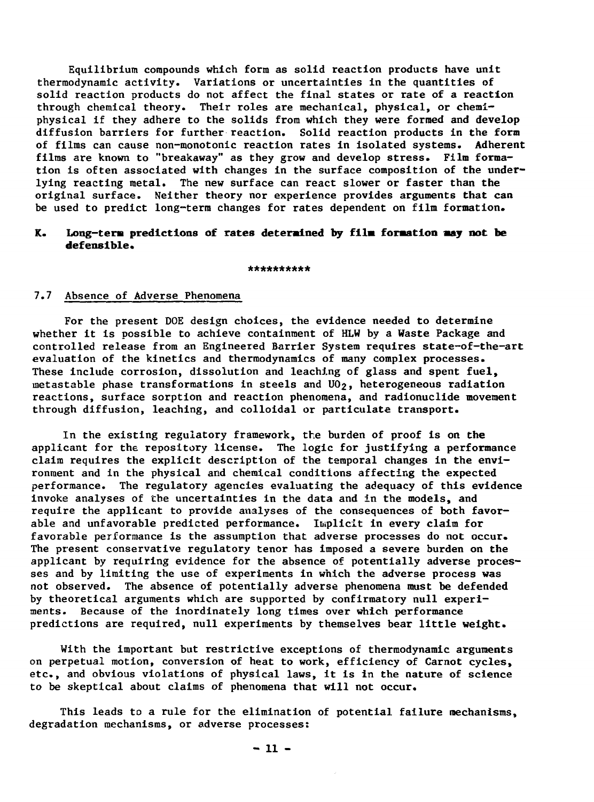Equilibrium compounds which form as solid reaction products have unit thermodynamic activity. Variations or uncertainties in the quantities of solid reaction products do not affect the final states or rate of a reaction through chemical theory. Their roles are mechanical, physical, or chemiphysical if they adhere to the solids from which they were formed and develop diffusion barriers for further reaction. Solid reaction products in the form of films can cause non-monotonic reaction rates in isolated systems. Adherent films are known to "breakaway" as they grow and develop stress. Film formation is often associated with changes in the surface composition of the underlying reacting metal. The new surface can react slower or faster than the original surface. Neither theory nor experience provides arguments that can be used to predict long-term changes for rates dependent on film formation.

## **K. Long-tem predictions of rates determined by film formation may not be defensible.**

\*\*\*\*\*\*\*\*\*

## 7.7 Absence of Adverse Phenomena

For the present DOE design choices, the evidence needed to determine whether it is possible to achieve containment of HLW by a Waste Package and controlled release from an Engineered Barrier System requires state-of-the-art evaluation of the kinetics and thermodynamics of many complex processes. These include corrosion, dissolution and leaching of glass and spent fuel, metastable phase transformations in steels and UO<sub>2</sub>, heterogeneous radiation reactions, surface sorption and reaction phenomena, and radionuclide movement through diffusion, leaching, and colloidal or particulate transport.

In the existing regulatory framework, the burden of proof is on the applicant for the repository license. The logic for justifying a performance claim requires the explicit description of the temporal changes in the environment and in the physical and chemical conditions affecting the expected performance. The regulatory agencies evaluating the adequacy of this evidence invoke analyses of the uncertainties in the data and in the models, and require the applicant to provide analyses of the consequences of both favorable and unfavorable predicted performance. Implicit in every claim for favorable performance is the assumption that adverse processes do not occur. The present conservative regulatory tenor has imposed a severe burden on the applicant by requiring evidence for the absence of potentially adverse processes and by limiting the use of experiments in which the adverse process was not observed. The absence of potentially adverse phenomena must be defended by theoretical arguments which are supported by confirmatory null experiments. Because of the inordinately long times over which performance predictions are required, null experiments by themselves bear little weight.

With the important but restrictive exceptions of thermodynamic arguments on perpetual motion, conversion of heat to work, efficiency of Carnot cycles, etc., and obvious violations of physical laws, it is in the nature of science to be skeptical about claims of phenomena that will not occur.

This leads to a rule for the elimination of potential failure mechanisms, degradation mechanisms, or adverse processes: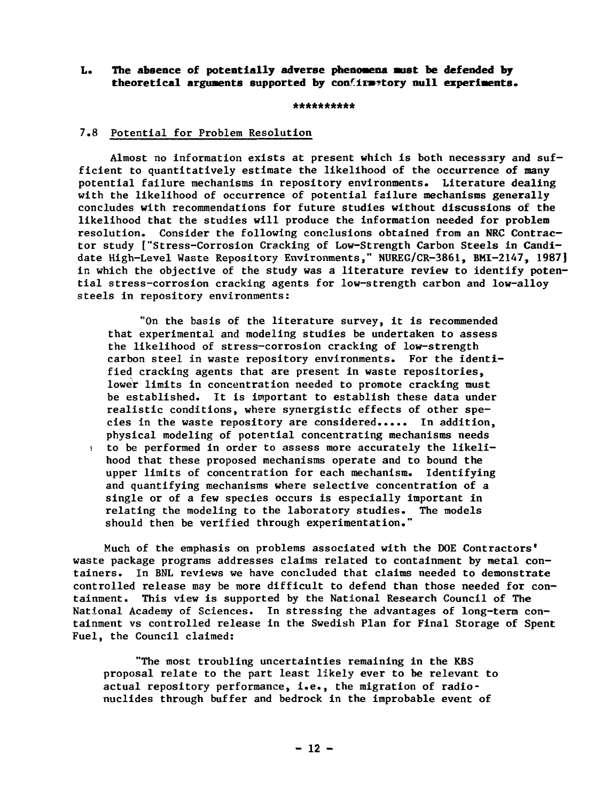## **L. The absence of potentially adverse phenomena aust be defended bj** theoretical arguments supported by confirmatory null experiments.

#### \*\*\*\*\*\*\*\*\*\*

# 7.8 Potential for Problem Resolution

Almost no information exists at present which is both necessary and sufficient to quantitatively estimate the likelihood of the occurrence of many potential failure mechanisms in repository environments. Literature dealing with the likelihood of occurrence of potential failure mechanisms generally concludes with recommendations for future studies without discussions of the likelihood that the studies will produce the information needed for problem resolution. Consider the following conclusions obtained from an NRC Contractor study ["Stress-Corrosion Cracking of Low-Strength Carbon Steels in Candidate High-Level Waste Repository Environments," NUREG/CR-3861, BMI-2147, 1987] in which the objective of the study was a literature review to identify potential stress-corrosion cracking agents for low-strength carbon and low-alloy steels in repository environments:

"On the basis of the literature survey, it is recommended that experimental and modeling studies be undertaken to assess the likelihood of stress-corrosion cracking of low-strength carbon steel in waste repository environments. For the identified cracking agents that are present in waste repositories, lower limits in concentration needed to promote cracking must be established. It is important to establish these data under realistic conditions, where synergistic effects of other species in the waste repository are considered..... In addition, physical modeling of potential concentrating mechanisms needs • to be performed in order to assess more accurately the likelihood that these proposed mechanisms operate and to bound the upper limits of concentration for each mechanism. Identifying and quantifying mechanisms where selective concentration of a single or of a few species occurs is especially important in relating the modeling to the laboratory studies. The models should then be verified through experimentation."

Much of the emphasis on problems associated with the DOE Contractors' waste package programs addresses claims related to containment by metal containers. In BNL reviews we have concluded that claims needed to demonstrate controlled release may be more difficult to defend than those needed for containment. This view is supported by the National Research Council of The National Academy of Sciences. In stressing the advantages of long-term containment vs controlled release in the Swedish Plan for Final Storage of Spent Fuel, the Council claimed:

"The most troubling uncertainties remaining in the KBS proposal relate to the part least likely ever to be relevant to actual repository performance, i.e., the migration of radionuclides through buffer and bedrock in the improbable event of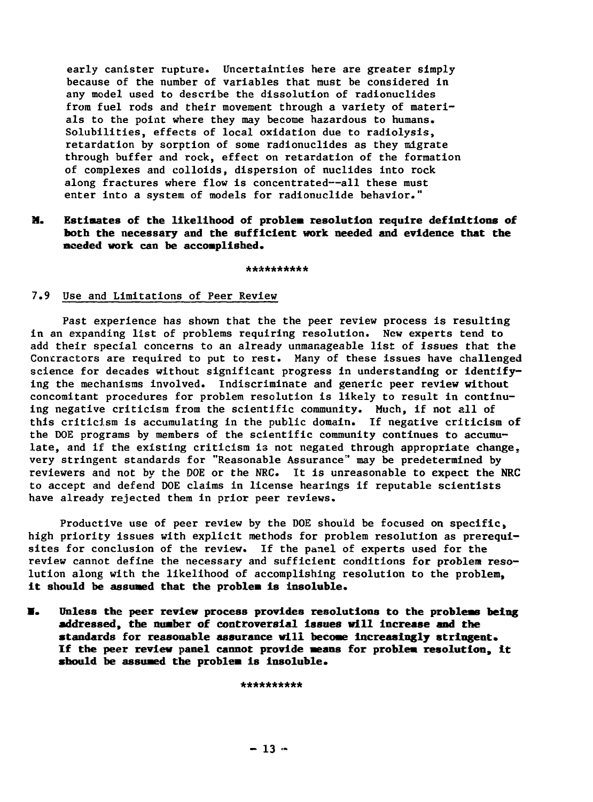early canister rupture. Uncertainties here are greater simply because of the number of variables that must be considered in any model used to describe the dissolution of radionuclides from fuel rods and their movement through a variety of materials to the point where they may become hazardous to humans. Solubilities, effects of local oxidation due to radiolysis, retardation by sorption of some radionuclides as they migrate through buffer and rock, effect on retardation of the formation of complexes and colloids, dispersion of nuclides into rock along fractures where flow is concentrated--all these must enter into a system of models for radionuclide behavior."

## **M. Estimates of the likelihood of problem resolution require definitions of both the necessary and the sufficient work needed and evidence that the needed work can be accomplished.**

\*\*\*\*\*\*\*\*\*\*

## 7.9 Use and Limitations of Peer Review

Past experience has shown that the the peer review process is resulting in an expanding list of problems requiring resolution. New experts tend to add their special concerns to an already unmanageable list of issues that the Contractors are required to put to rest. Many of these issues have challenged science for decades without significant progress in understanding or identifying the mechanisms involved. Indiscriminate and generic peer review without concomitant procedures for problem resolution is likely to result in continuing negative criticism from the scientific community. Much, if not all of this criticism is accumulating in the public domain. If negative criticism of the DOE programs by members of the scientific community continues to accumulate, and if the existing criticism is not negated through appropriate change, very stringent standards for "Reasonable Assurance" may be predetermined by reviewers and not by the DOE or the NRC. It is unreasonable to expect the NRC to accept and defend DOE claims in license hearings if reputable scientists have already rejected them in prior peer reviews.

Productive use of peer review by the DOE should be focused on specific, high priority issues with explicit methods for problem resolution as prerequisites for conclusion of the review. If the panel of experts used for the review cannot define the necessary and sufficient conditions for problem resolution along with the likelihood of accomplishing resolution to the problem, **it should be assumed that the problem is insoluble.**

**I. Unless the peer review process provides resolutions to the problems being addressed, the number of controversial issues will increase and the standards for reasonable assurance will become increasingly stringent. If the peer review panel cannot provide means for problem resolution, it should be assumed the problem is insoluble.**

\*\*\*\*\*\*\*\*\*\*